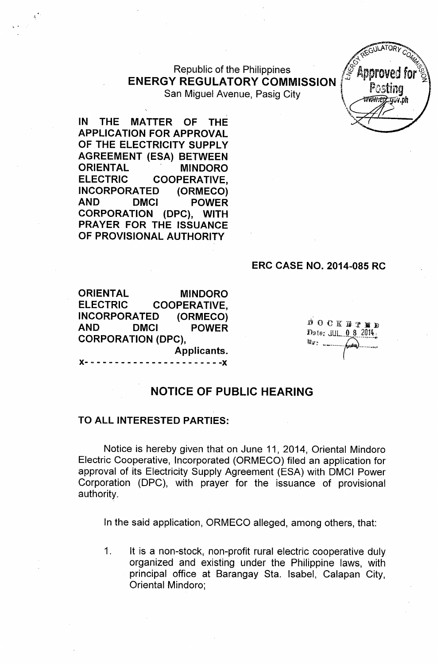#### **Republic of the Philippines ENERGY REGULATORY COMMISSION** San Miguel Avenue, Pasig City

**IN THE MATTER OF THE APPLICATION FOR APPROVAL OF THE ELECTRICITY SUPPLY AGREEMENT (ESA) BETWEEN ORIENTAL 'MINDORO ELECTRIC COOPERATIVE, INCORPORATED (ORMECO) AND DMCI POWER CORPORATION (DPC), WITH PRAYER FOR THE ISSUANCE OF PROVISIONAL AUTHORITY**

#### **ERC CASE NO. 2014-085 RC**

**ORIENTAL MINDORO ELECTRIC COOPERATIVE, INCORPORATED (ORMECO) AND DMCI POWER CORPORATION (DPC), Applicants.**

DOCKBTED Date: JUL 0 8 2014 l nelser

Approved

Postina

# **NOTICE OF PUBLIC HEARING**

)(- - - - - - - - - - - - - - - - - - - - - - -)(

#### **TO ALL INTERESTED PARTIES:**

Notice is hereby given that on June 11, 2014, Oriental Mindoro Electric Cooperative, Incorporated (ORMECO) filed an application for approval of its Electricity Supply Agreement (ESA) with OMCI Power Corporation (OPC), with prayer for the issuance of provisional authority.

In the said application, ORMECO alleged, among others, that:

1. It is a non-stock, non-profit rural electric cooperative duly organized and existing under the Philippine laws, with principal office at Barangay Sta. Isabel, Calapan City, Oriental Mindoro;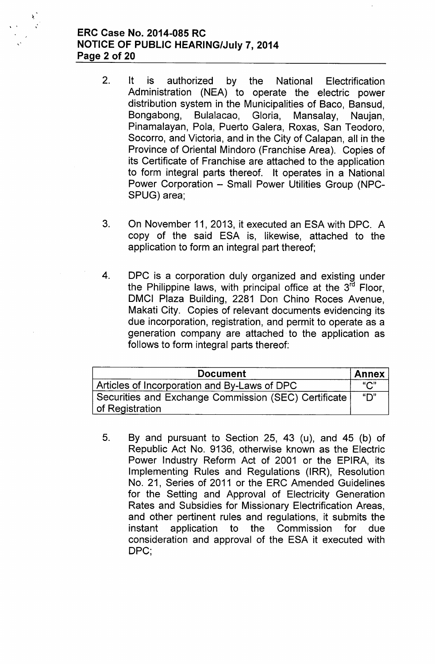# ERC Case No. 2014-085 RC NOTICE OF PUBLIC HEARING/July 7, 2014 Page 2 of 20

 $\delta_{\rm c}$ 

- 2. It is authorized by the National Electrification Administration (NEA) to operate the electric power distribution system in the Municipalities of Baco, Bansud, Bongabong, Bulalacao, Gloria, Mansalay, Naujan, Pinamalayan, Pola, Puerto Galera, Roxas, San Teodoro, Socorro, and Victoria, and in the City of Calapan, all in the Province of Oriental Mindoro (Franchise Area). Copies of its Certificate of Franchise are attached to the application to form integral parts thereof. It operates in a National Power Corporation - Small Power Utilities Group (NPC-SPUG) area;
- 3. On November 11, 2013, it executed an ESA with OPC. A copy of the said ESA is, likewise, attached to the application to form an integral part thereof;
- 4. OPC is a corporation duly organized and existing under the Philippine laws, with principal office at the 3<sup>rd</sup> Floor, OMCI Plaza Building, 2281 Don Chino Roces Avenue, Makati City. Copies of relevant documents evidencing its due incorporation, registration, and permit to operate as a generation company are attached to the application as follows to form integral parts thereof:

| <b>Document</b>                                                         | <b>Annex</b> |
|-------------------------------------------------------------------------|--------------|
| Articles of Incorporation and By-Laws of DPC                            | "C"          |
| Securities and Exchange Commission (SEC) Certificate<br>of Registration | "D"          |

5. By and pursuant to Section 25, 43 (u), and 45 (b) of Republic Act No. 9136, otherwise known as the Electric Power Industry Reform Act of 2001 or the EPIRA, its Implementing Rules and Regulations (IRR), Resolution No. 21, Series of 2011 or the ERC Amended Guidelines for the Setting and Approval of Electricity Generation Rates and Subsidies for Missionary Electrification Areas, and other pertinent rules and regulations, it submits the instant application to the Commission for due consideration and approval of the ESA it executed with DPC;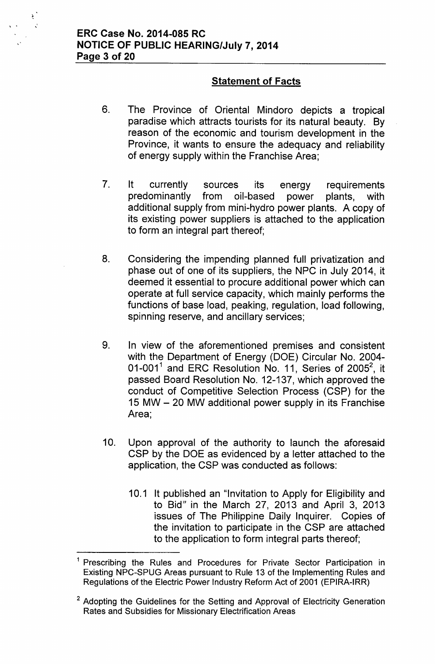$\sum_{i=1}^{n}$ , . ,

# **Statement of Facts**

- 6. The Province of Oriental Mindoro depicts a tropical paradise which attracts tourists for its natural beauty. By reason of the economic and tourism development in the Province, it wants to ensure the adequacy and reliability of energy supply within the Franchise Area;
- 7. It currently sources its energy requirements predominantly from oil-based power plants, with additional supply from mini-hydro power plants. A copy of its existing power suppliers is attached to the application to form an integral part thereof;
- 8. Considering the impending planned full privatization and phase out of one of its suppliers, the NPC in July 2014, it deemed it essential to procure additional power which can operate at full service capacity, which mainly performs the functions of base load, peaking, regulation, load following, spinning reserve, and ancillary services;
- 9. In view of the aforementioned premises and consistent with the Department of Energy (DOE) Circular No. 2004- 01-001 $^1$  and ERC Resolution No. 11, Series of 2005 $^2$ , it passed Board Resolution No. 12-137, which approved the conduct of Competitive Selection Process (CSP) for the 15 MW - 20 MW additional power supply in its Franchise Area;
- 10. Upon approval of the authority to launch the aforesaid CSP by the DOE as evidenced by a letter attached to the application, the CSP was conducted as follows:
	- 10.1 It published an "Invitation to Apply for Eligibility and to Bid" in the March 27, 2013 and April 3, 2013 issues of The Philippine Daily Inquirer. Copies of the invitation to participate in the CSP are attached to the application to form integral parts thereof;

<sup>&</sup>lt;sup>1</sup> Prescribing the Rules and Procedures for Private Sector Participation in Existing NPC-SPUG Areas pursuant to Rule 13 of the Implementing Rules and Regulations of the Electric Power Industry Reform Act of 2001 (EPIRA-IRR)

<sup>&</sup>lt;sup>2</sup> Adopting the Guidelines for the Setting and Approval of Electricity Generation Rates and Subsidies for Missionary Electrification Areas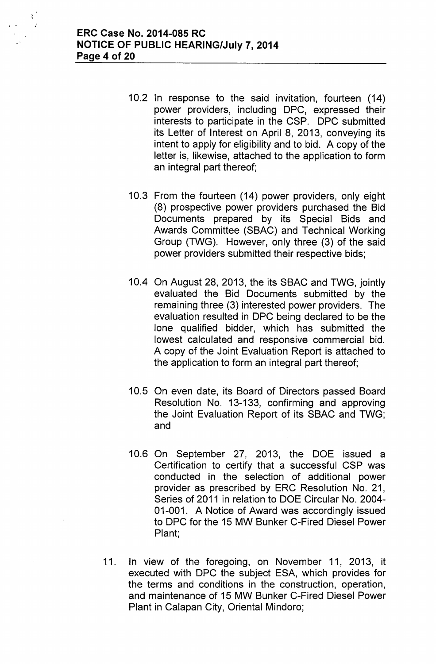$\mathbb{R}^2$ 

- 10.2 In response to the said invitation, fourteen (14) power providers, including DPC, expressed their interests to participate in the CSP. DPC submitted its Letter of Interest on April 8, 2013, conveying its intent to apply for eligibility and to bid. A copy of the letter is, likewise, attached to the application to form an integral part thereof;
- 10.3 From the fourteen (14) power providers, only eight (8) prospective power providers purchased the Bid Documents prepared by its Special Bids and Awards Committee (SBAC) and Technical Working Group (TWG). However, only three (3) of the said power providers submitted their respective bids;
- 10.4 On August 28, 2013, the its SBAC and TWG, jointly evaluated the Bid Documents submitted by the remaining three (3) interested power providers. The evaluation resulted in DPC being declared to be the lone qualified bidder, which has submitted the lowest calculated and responsive commercial bid. A copy of the Joint Evaluation Report is attached to the application to form an integral part thereof;
- 10.5 On even date, its Board of Directors passed Board Resolution No. 13-133, confirming and approving the Joint Evaluation Report of its SBAC and TWG; and
- 10.6 On September 27, 2013, the DOE issued a Certification to certify that a successful CSP was conducted in the selection of additional power provider as prescribed by ERC Resolution No. 21, Series of 2011 in relation to DOE Circular No. 2004- 01-001. A Notice of Award was accordingly issued to DPC for the 15 MW Bunker C-Fired Diesel Power Plant;
- 11. In view of the foregoing, on November 11, 2013, it executed with DPC the subject ESA, which provides for the terms and conditions in the construction, operation, and maintenance of 15 MW Bunker C-Fired Diesel Power Plant in Calapan City, Oriental Mindoro;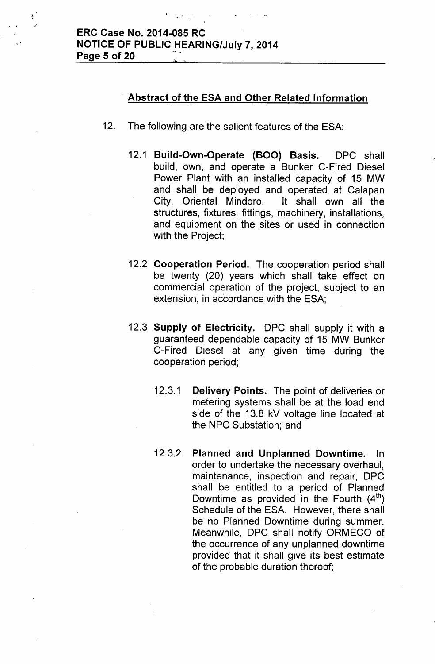"

 $\mathbf{r}$ 

#### **. Abstract of the ESA and Other Related Information**

- 12. The following are the salient features of the ESA:
	- 12.1 **Build-Own-Operate (BOO) Basis.** DPC shall build, own, and operate a Bunker C-Fired Diesel Power Plant with an installed capacity of 15 MW and shall be deployed and operated at Calapan City, Oriental Mindoro. It shall own all the structures, fixtures, fittings, machinery, installations, and equipment on the sites or used in connection with the Project;
	- 12.2 **Cooperation Period.** The cooperation period shall be twenty (20) years which shall take effect on commercial operation of the project, subject to an extension, in accordance with the ESA;
	- 12.3 **Supply of Electricity.** DPC shall supply it with a guaranteed dependable capacity of 15 MW Bunker C-Fired Diesel at any given time during the cooperation period;
		- 12.3.1 **Delivery Points.** The point of deliveries or metering systems shall be at the load end side of the 13.8 kV voltage line located at the NPC Substation; and
		- 12.3.2 **Planned and Unplanned Downtime.** hi order to undertake the necessary overhaul', maintenance, inspection and repair, DPC shall be entitled to a period of Planned Downtime as provided in the Fourth  $(4<sup>th</sup>)$ Schedule of the ESA. However, there shall be no Planned Downtime during summer. Meanwhile, DPC shall notify ORMECO of the occurrence of any unplanned downtime provided that it shall give its best estimate of the probable duration thereof;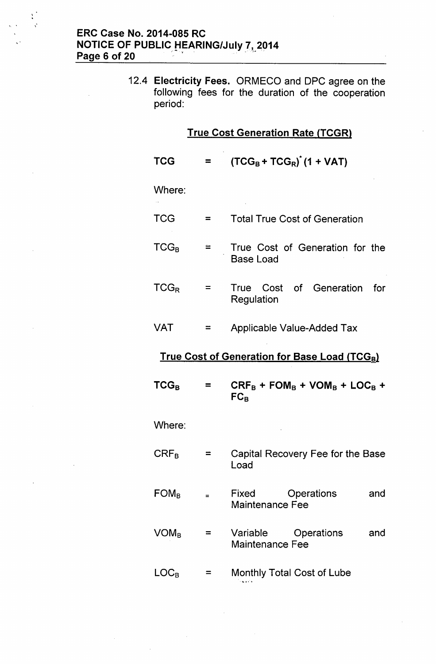$\mathcal{L}$ 

 $\sum_{i=1}^{n}$ 

12.4 Electricity Fees. ORMECO and OPC agree on the following fees for the duration of the cooperation period:

| <b>True Cost Generation Rate (TCGR)</b> |          |                                                           |  |
|-----------------------------------------|----------|-----------------------------------------------------------|--|
| <b>TCG</b>                              | ≂        | $(TCG_B + TCG_R)$ <sup>"</sup> (1 + VAT)                  |  |
| Where:                                  |          |                                                           |  |
| <b>TCG</b>                              | $=$      | <b>Total True Cost of Generation</b>                      |  |
| $TCG_B$                                 | $\equiv$ | True Cost of Generation for the<br><b>Base Load</b>       |  |
| $TCG_R$                                 | $\equiv$ | True Cost of Generation<br>for<br>Regulation              |  |
| VAT                                     | =        | Applicable Value-Added Tax                                |  |
|                                         |          | True Cost of Generation for Base Load (TCG <sub>B</sub> ) |  |
| $TCG_B$                                 | $\equiv$ | $CRF_B + FOM_B + VOM_B + LOC_B +$<br>$FC_B$               |  |
| Where:                                  |          |                                                           |  |
| $\mathsf{CRF}_\mathsf{B}$               | ⋍        | Capital Recovery Fee for the Base<br>Load                 |  |
| $FOM_B$                                 | $=$      | Fixed<br>Operations<br>and<br><b>Maintenance Fee</b>      |  |
| $\mathsf{VOM}_{\mathsf{B}}$             | ⋍        | Variable<br>Operations<br>and<br><b>Maintenance Fee</b>   |  |
| $\mathsf{LOC}_\mathsf{B}$               |          | Monthly Total Cost of Lube                                |  |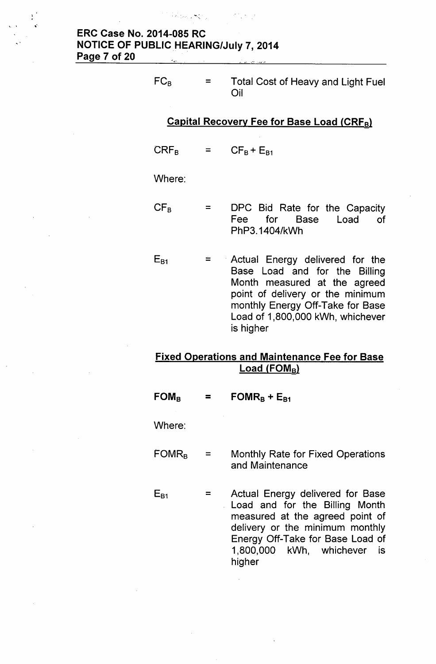the Police of State

~.

| FC <sub>B</sub> | $=$ $\qquad$ | Total Cost of Heavy and Light Fuel<br>Oil |
|-----------------|--------------|-------------------------------------------|
|-----------------|--------------|-------------------------------------------|

#### Capital Recovery Fee for Base Load (CRFgl

 $CRF_B$ =  $CF_B + E_{B1}$ 

#### Where:

- $CF<sub>B</sub>$  $=$ DPC Bid Rate for the Capacity Fee for Base Load of PhP3.1404/kWh
- $E_{B1}$  $=$ Actual Energy delivered for the Base Load and for the Billing Month measured at the agreed point of delivery or the minimum monthly Energy Off-Take for Base Load of 1,800,000 kWh, whichever is higher

#### Fixed Operations and Maintenance Fee for Base  $Load (FOM<sub>B</sub>)$

 $FOM_B$  $=$  FOMR<sub>B</sub> + E<sub>B1</sub>

Where:

 $E_{B1}$ 

- $FOMR<sub>B</sub>$  = Monthly Rate for Fixed Operations and Maintenance
	- Actual Energy delivered for Base  $=$ Load and for the Billing Month measured at the agreed point of delivery or the minimum monthly Energy Off-Take for Base Load of 1,800,000 kWh, whichever is higher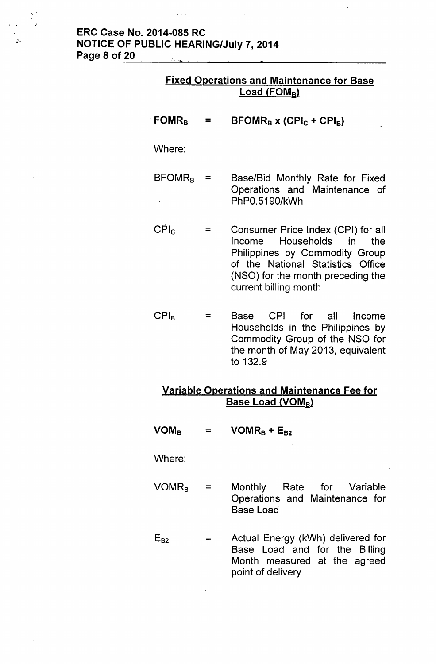#### ERC Case No. 2014-085 RC NOTICE OF PUBLIC HEARING/July 7, 2014 Page 8 of 20 <u> Den staten de Staten de Staten de Sta</u> . "...~~- -

 $\label{eq:2.1} \mathcal{L}(\mathbf{A}^{\dagger},\mathbf{B}^{\dagger},\mathbf{B}^{\dagger},\mathbf{B}^{\dagger}) = \mathcal{L}(\mathbf{A}^{\dagger},\mathbf{B}^{\dagger},\mathbf{B}^{\dagger}) = \mathcal{L}(\mathbf{A}^{\dagger},\mathbf{B}^{\dagger},\mathbf{B}^{\dagger}) = \mathcal{L}(\mathbf{A}^{\dagger},\mathbf{B}^{\dagger},\mathbf{B}^{\dagger})$ 

| <b>Fixed Operations and Maintenance for Base</b><br><b>Load (FOMB)</b>            |                |                                                                                                                                                                                                        |  |
|-----------------------------------------------------------------------------------|----------------|--------------------------------------------------------------------------------------------------------------------------------------------------------------------------------------------------------|--|
| $FOMR_B$                                                                          | Ξ              | $\text{BFOMR}_B$ x (CPI <sub>C</sub> + CPI <sub>B</sub> )                                                                                                                                              |  |
| Where:                                                                            |                |                                                                                                                                                                                                        |  |
| $\mathsf{BFOMR}_{\mathsf{B}}$                                                     | $=$            | Base/Bid Monthly Rate for Fixed<br>Operations and Maintenance of<br>PhP0.5190/kWh                                                                                                                      |  |
| CPI <sub>c</sub>                                                                  | $=$            | Consumer Price Index (CPI) for all<br>Income Households in<br>the<br>Philippines by Commodity Group<br>of the National Statistics Office<br>(NSO) for the month preceding the<br>current billing month |  |
| CPI <sub>B</sub>                                                                  | =              | Base CPI for all Income<br>Households in the Philippines by<br>Commodity Group of the NSO for<br>the month of May 2013, equivalent<br>to 132.9                                                         |  |
| Variable Operations and Maintenance Fee for<br><b>Base Load (VOM<sub>B</sub>)</b> |                |                                                                                                                                                                                                        |  |
| $\mathsf{VOM}_{\mathsf{B}}$                                                       | $\blacksquare$ | $VOMR_B + E_{B2}$                                                                                                                                                                                      |  |
| Where:                                                                            |                |                                                                                                                                                                                                        |  |
| $VOMR_B =$                                                                        |                | Monthly Rate for Variable<br>Operations and Maintenance for<br><b>Base Load</b>                                                                                                                        |  |
| $E_{B2}$                                                                          | $=$            | Actual Energy (kWh) delivered for<br>Base Load and for the Billing<br>Month measured at the agreed                                                                                                     |  |

point of delivery

 $\bar{z}$ 

 $\sum_{i=1}^{n}$ 

i.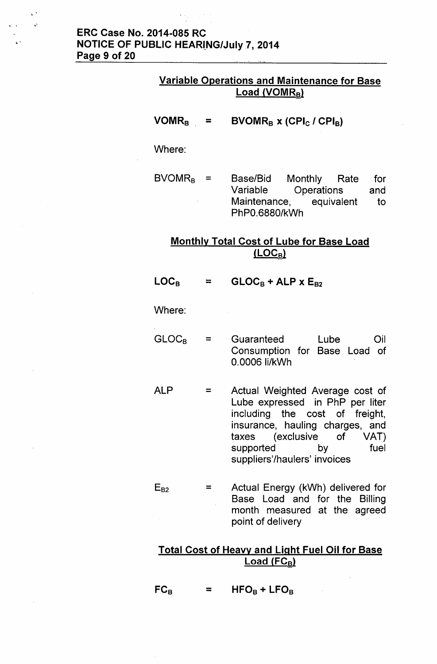## ERC Case No. 2014-085 RC **NOTICE OF PUBLIC HEARING/July 7, 2014** Page 9 of 20

..

 $\mathbf{v}$ 

#### Variable Operations and Maintenance for Base  $Load (VOMR_B)$

 $VOMR_B =$ BVOMR<sub>B</sub> x (CPI<sub>C</sub> / CPI<sub>B</sub>)

#### Where:

 $BVOMR_B =$ Base/Bid Monthly Rate for Variable Operations and Maintenance, equivalent to PhPO.6880/kWh

#### Monthly Total Cost of Lube for Base Load  $(LOC_B)$

 $\mathsf{LOC}_\mathsf{B}$  $=$  $GLOC_B + ALP \times E_{B2}$ 

#### Where:

- $GLOC<sub>B</sub>$  $=$ Guaranteed Lube Oil Consumption for Base Load of 0.0006 Ii/kWh
- ALP = Actual Weighted Average cost of Lube expressed in PhP per liter including the cost of freight, insurance, hauling charges, and taxes (exclusive of VAT) supported by fuel suppliers'/haulers' invoices
- $E_{B2}$ Actual Energy (kWh) delivered for  $=$ Base Load and for the Billing month measured at the agreed point of delivery

#### Total Cost of Heavy and Light Fuel Oil for Base Load  $(FC_B)$

 $FC_B$  = HFO<sub>B</sub> + LFO<sub>B</sub>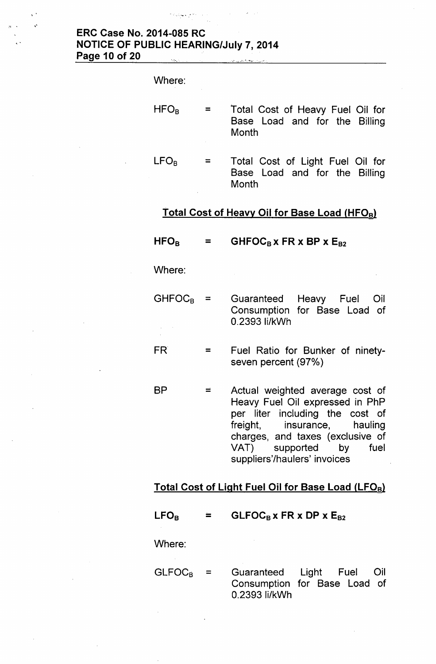# ERC Case No. 2014-085 RC NOTICE OF PUBLIC HEARING/July 7, 2014 Page 10 of 20

 $\label{eq:1} \mathbb{E}[\mathcal{L}_N \mathcal{L}_\text{max}(\mathcal{L}_N) \mathcal{L}_\text{max}(\mathcal{L}_N)]$ 

,-

 $\ddot{\phantom{1}}$ 

| Where:           |                                                                            |
|------------------|----------------------------------------------------------------------------|
| $HFO_B$          | Total Cost of Heavy Fuel Oil for<br>Base Load and for the Billing<br>Month |
| LFO <sub>R</sub> | Total Cost of Light Fuel Oil for<br>Base Load and for the Billing<br>Month |
|                  | <u>Total Cost of Heavy Oil for Base Load (HFO<sub>B</sub>)</u>             |

| $\mathsf{HFO}_{\mathsf{R}}$ |   | $GHFOC_B$ x FR x BP x $E_{B2}$                                                                                                                                              |  |
|-----------------------------|---|-----------------------------------------------------------------------------------------------------------------------------------------------------------------------------|--|
| Where:                      |   |                                                                                                                                                                             |  |
| <b>GHFOCR</b>               |   | Guaranteed Heavy Fuel Oil<br>Consumption for Base Load of<br>0.2393 li/kWh                                                                                                  |  |
| FR.                         |   | Fuel Ratio for Bunker of ninety-<br>seven percent (97%)                                                                                                                     |  |
| ВP                          | = | Actual weighted average cost of<br>Heavy Fuel Oil expressed in PhP<br>per liter including the cost of<br>freight, insurance,<br>hauling<br>charges, and taxes (exclusive of |  |

# Total Cost of Light Fuel Oil for Base Load (LFOB)

VAT) supported by fuel

suppliers'/haulers' invoices

 $LFO<sub>B</sub>$  $GLFOC<sub>B</sub>$  x FR x DP x  $E<sub>B2</sub>$  $\equiv$ 

Where:

 $GLFOC_B =$ Guaranteed Light Fuel Oil Consumption for Base Load of 0.2393 Ii/kWh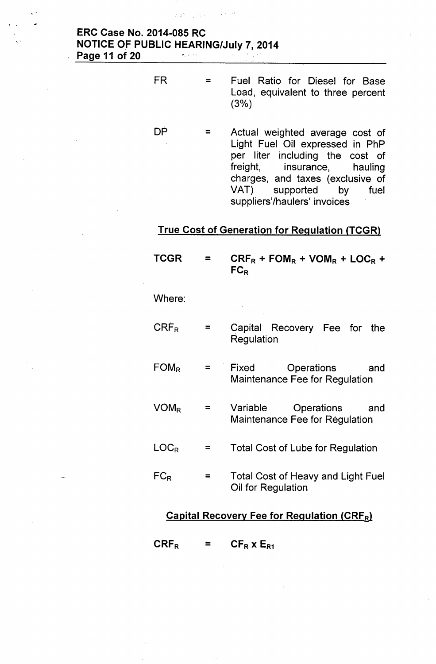#### ERC Case No. 2014-085 RC NOTICE OF PUBLIC HEARING/July 7,2014 Page 11 of 20  $\mathcal{L}=\frac{1}{2} \sum_{i=1}^{n} \mathcal{L}_{i}^{(i)} \mathcal{L}_{i}^{(i)} \mathcal{L}_{i}^{(i)} \mathcal{L}_{i}^{(i)}$

 $\zeta_0 \otimes \zeta_1 \cdots \otimes \zeta_K$  .

 $\sim 10^{-2}$  and  $\sim 10^7$ 

, .

,.

FR

DP

- = Fuel Ratio for Diesel for Base Load, equivalent to three percent (3%)
- $=$ Actual weighted average cost of Light Fuel Oil expressed in PhP per. liter including the cost of freight, insurance, hauling charges, and taxes (exclusive of VAT) supported by fuel suppliers'/haulers' invoices

# **True Cost of Generation for Regulation (TCGR)**

| <b>TCGR</b>                                       |          | $CRF_R$ + FOM <sub>R</sub> + VOM <sub>R</sub> + LOC <sub>R</sub> +<br>$FC_R$ |  |
|---------------------------------------------------|----------|------------------------------------------------------------------------------|--|
| Where:                                            |          |                                                                              |  |
| $CRF_R$                                           | $=$      | Capital Recovery Fee for the<br>Regulation                                   |  |
| $FOM_R$                                           | =        | Fixed<br>Operations<br>and and<br>Maintenance Fee for Regulation             |  |
| $VOM_R$                                           | $=$      | Variable<br>Operations<br>and<br>Maintenance Fee for Regulation              |  |
| LOC <sub>R</sub>                                  | $\equiv$ | Total Cost of Lube for Regulation                                            |  |
| $FC_R$                                            | =        | <b>Total Cost of Heavy and Light Fuel</b><br>Oil for Regulation              |  |
| <b>Capital Recovery Fee for Regulation (CRFR)</b> |          |                                                                              |  |

 $CRF_R =$  $CF_R$  x  $E_{R1}$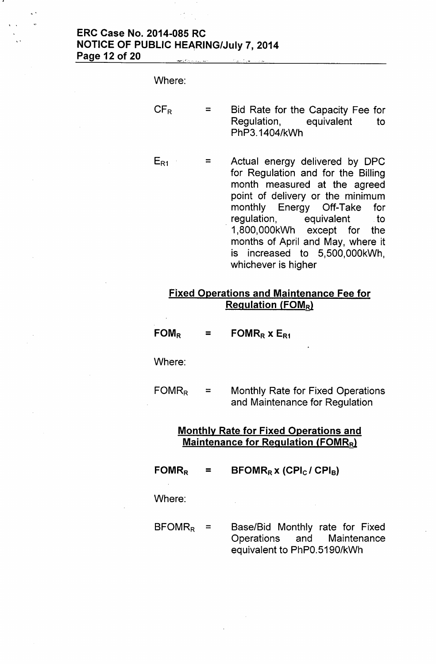# **ERC Case No. 2014-085 RC NOTICE OF PUBLIC HEARING/July 7,2014 Page 12 of** 20\_", '. ..,'\_ ...',

,.

. .

| Where:   |                                                                                                                                                                                                                                                                                                                                  |
|----------|----------------------------------------------------------------------------------------------------------------------------------------------------------------------------------------------------------------------------------------------------------------------------------------------------------------------------------|
| $CF_R$   | Bid Rate for the Capacity Fee for<br>Regulation, equivalent to<br>PhP3.1404/kWh                                                                                                                                                                                                                                                  |
| $E_{R1}$ | Actual energy delivered by DPC<br>for Regulation and for the Billing<br>month measured at the agreed<br>point of delivery or the minimum<br>monthly Energy Off-Take for<br>regulation, equivalent to<br>1,800,000kWh except for the<br>months of April and May, where it<br>is increased to 5,500,000kWh,<br>whichever is higher |

# **Fixed Operations and Maintenance Fee for Regulation (FOMR)**

| $\mathsf{FOM}_{\mathsf{R}}$ |  | FOMR <sub>R</sub> $x E_{R1}$ |
|-----------------------------|--|------------------------------|
|-----------------------------|--|------------------------------|

Where:

 $FOMR_R$  = Monthly Rate for Fixed Operations and Maintenance for Regulation

# **Monthly Rate for Fixed Operations and Maintenance for Regulation (FOMR<sub>R</sub>)**

 $FOMR_R$  $\blacksquare$ **BFOMR<sup>R</sup> x (CPlc / CPls)**

 $\bar{A}$ 

Where:

 $BFORMR<sub>R</sub> =$ Base/Bid Monthly rate for Fixed Operations and Maintenance equivalent to PhPO.5190/kWh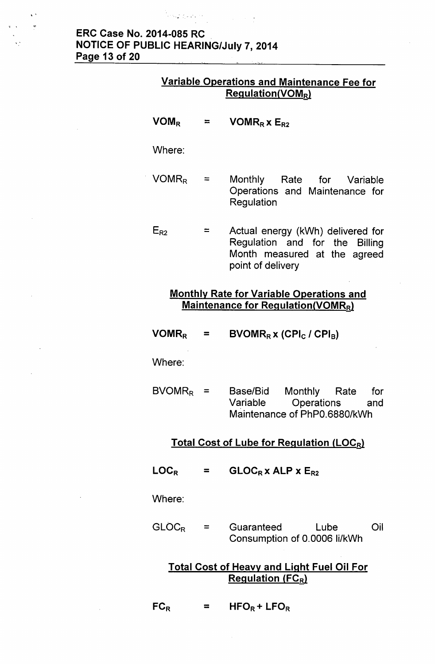# ERC Case No. 2014-085 RC NOTICE OF PUBLIC HEARING/July 7,2014 Page 13 of 20

.... -, ..

#### Variable Operations and Maintenance Fee for  $Regulation(VOM_R)$

 $VOM_R$  $VOMR_R$  x  $E_{R2}$  $=$ Where:  $VOMR_R =$  Monthly Rate for Variable Operations and Maintenance for Regulation  $E_{R2}$  $\equiv$ Actual energy (kWh) delivered for Regulation and for the Billing Month measured at the agreed

#### Monthly Rate for Variable Operations and Maintenance for Regulation(VOMRR)

point of delivery

 $VOMR_R =$  $BVOMR_R$  x (CPI<sub>C</sub> / CPI<sub>B</sub>)

Where:

 $BVOMR_R =$ Base/Bid Monthly Rate for Variable Operations and Maintenance of PhPO.6880/kWh

## Total Cost of Lube for Regulation (LOCR)

 $LOG<sub>R</sub>$  $=$  $GLOC_Rx$  ALP  $x E_{R2}$ 

Where:

 $GLOC_R$  $=$ Guaranteed Lube Oil Consumption of 0.0006 Ii/kWh

# Total Cost of Heavy and Light Fuel Oil For Regulation  $(FC_R)$

 $FC_R$  $HFO_R + LFO_R$ =

,'

 $\ddot{\phantom{1}}$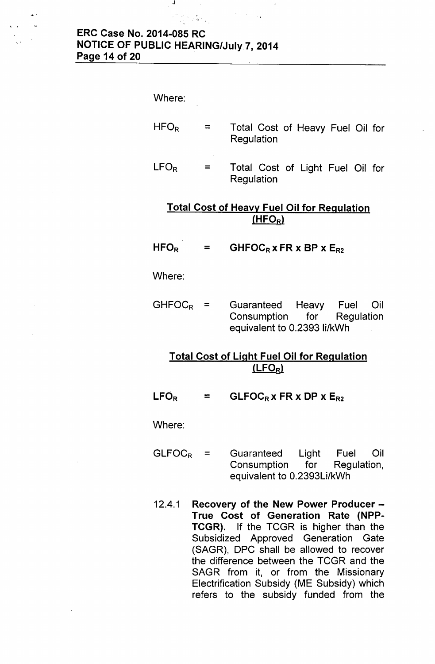#### **ERC Case No. 2014-085 RC NOTICE OF PUBLIC HEARING/July7, 2014 Page 14 of 20**

 $\mathcal{A}$ 

,.

Where:  $HFO_R$ = Total Cost of Heavy Fuel Oil for Regulation  $LFO_R$ = Total Cost of Light Fuel Oil for Regulation

# **Total Cost of Heavy Fuel Oil for Regulation** (HFO<sub>R</sub>)

#### $HFO<sub>R</sub>$ = GHFOCR  $x$  FR  $x$  BP  $x E_{R2}$

Where:

 $GHFOC_R =$  Guaranteed Heavy Fuel Oil Consumption for Regulation equivalent to 0.2393 Ii/kWh

# **Total Cost of Light Fuel Oil for Regulation lLFORl**

 $LFO<sub>R</sub>$  $=$  **GLFOC<sub>R</sub> x FR x DP x E<sub>R2</sub>** 

Where:

- $GLFOC_R$  = Guaranteed Light Fuel Oil Consumption for Regulation, equivalent to 0.2393Li/kWh
- 12.4.1 **Recovery of the New Power Producer - True Cost of Generation Rate (NPP-TCGR).** If the TCGR is higher than the Subsidized Approved Generation Gate (SAGR), OPC shall be allowed to recover the difference between the TCGR and the SAGR from it, or from the Missionary Electrification Subsidy (ME Subsidy) which refers to the subsidy funded from the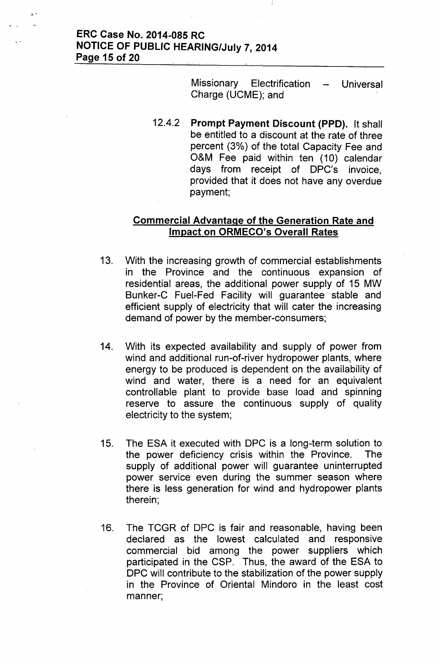#### ERC Case No. 2014-085 RC NOTICE OF PUBLIC HEARING/July 7, 2014 Page 15 of 20

,'

Missionary Electrification – Universa Charge (UCME); and

12.4.2 Prompt Payment Discount (PPD). It shall be entitled to a discount at the rate of three percent (3%) of the total Capacity Fee and O&M Fee paid within ten (10) calendar days from receipt of OPC's invoice, provided that it does not have any overdue payment;

#### Commercial Advantage of the Generation Rate and Impact on ORMECO's Overall Rates

- 13. With the increasing growth of commercial establishments in the Province and the continuous expansion of residential areas, the additional power supply of 15 MW Bunker-C Fuel-Fed Facility will guarantee stable and efficient supply of electricity that will cater the increasing demand of power by the member-consumers;
- 14. With its expected availability and supply of power from wind and additional run-of-river hydropower plants, where energy to be produced is dependent on the availability of wind and water, there is a need for an equivalent controllable plant to provide base load and spinning reserve to assure the continuous supply of quality electricity to the system;
- 15. The ESA it executed with OPC is a long-term solution to the power deficiency crisis within the Province. The supply of additional power will guarantee uninterrupted power service even during the summer season where there is less generation for wind and hydropower plants therein;
- 16. The TCGR of OPC is fair and reasonable, having been declared as the lowest calculated and responsive commercial bid among the power suppliers which participated in the CSP. Thus, the award of the ESA to OPC will contribute to the stabilization of the power supply in the Province of Oriental Mindoro in the least cost manner;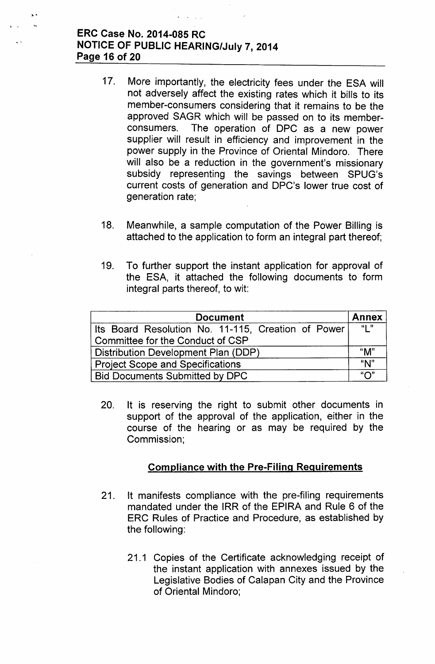# ERC Case No. 2014-085 RC NOTICE OF PUBLIC HEARING/July 7, 2014 Page 16 of 20

'~ ..

- 17. More importantly, the electricity fees under the ESA will not adversely affect the existing rates which it bills to its member-consumers considering that it remains to be the approved SAGR which will be passed on to its memberconsumers. The operation of OPC as a new power supplier will result in efficiency and improvement in the power supply in the Province of Oriental Mindoro. There will also be a reduction in the government's missionary subsidy representing the savings between SPUG's current costs of generation and OPC's lower true cost of generation rate;
- 18. Meanwhile, a sample computation of the Power Billing is attached to the application to form an integral part thereof;
- 19. To further support the instant application for approval of the ESA, it attached the following documents to form integral parts thereof, to wit:

| <b>Document</b>                                    |     |  |  |
|----------------------------------------------------|-----|--|--|
| Its Board Resolution No. 11-115, Creation of Power | "L" |  |  |
| Committee for the Conduct of CSP                   |     |  |  |
| Distribution Development Plan (DDP)                |     |  |  |
| <b>Project Scope and Specifications</b>            |     |  |  |
| <b>Bid Documents Submitted by DPC</b>              | "∩" |  |  |

20. It is reserving the right to submit other documents in support of the approval of the application, either in the course of the hearing or as may be required by the Commission;

# Compliance with the Pre-Filing Requirements

- 21. It manifests compliance with the pre-filing requirements mandated under the IRR of the EPIRA and Rule 6 of the ERC Rules of Practice and Procedure, as established by the following:
	- 21.1 Copies of the Certificate acknowledging receipt of the instant application with annexes issued by the legislative Bodies of Calapan City and the Province of Oriental Mindoro;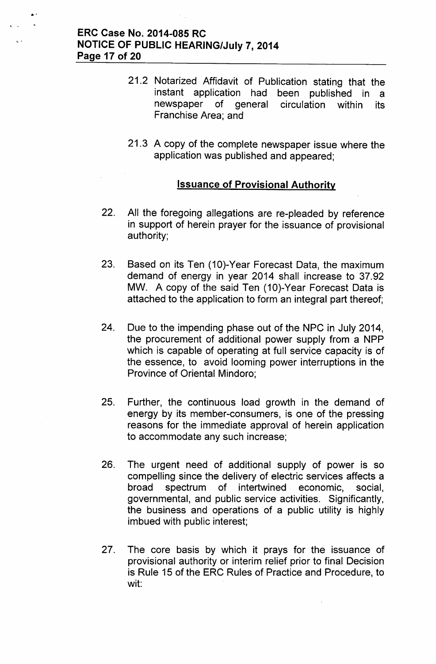#### ERC Case No. 2014-085 RC NOTICE OF PUBLIC HEARING/July 7, 2014 Page 17 of 20

..

- 21.2 Notarized Affidavit of Publication stating that the instant application had been published in a newspaper of general circulation within its Franchise Area; and
- 21.3 A copy of the complete newspaper issue where the application was published and appeared;

#### Issuance of Provisional Authority

- 22. All the foregoing allegations are re-pleaded by reference in support of herein prayer for the issuance of provisional authority;
- 23. Based on its Ten (10)-Year Forecast Data, the maximum demand of energy in year 2014 shall increase to 37.92 MW. A copy of the said Ten (10)-Year Forecast Data is attached to the application to form an integral part thereof;
- 24. Due to the impending phase out of the NPC in July 2014, the procurement of additional power supply from a NPP which is capable of operating at full service capacity is of the essence, to avoid looming power interruptions in the Province of Oriental Mindoro;
- 25. Further, the continuous load growth in the demand of energy by its member-consumers, is one of the pressing reasons for the immediate approval of herein application to accommodate any such increase;
- 26. The urgent need of additional supply of power is so compelling since the delivery of electric services affects a broad spectrum of intertwined economic, social, governmental, and public service activities. Significantly, the business and operations of a public utility is highly imbued with public interest;
- 27. The core basis by which it prays for the issuance of provisional authority or interim relief prior to final Decision is Rule 15 of the ERC Rules of Practice and Procedure, to wit: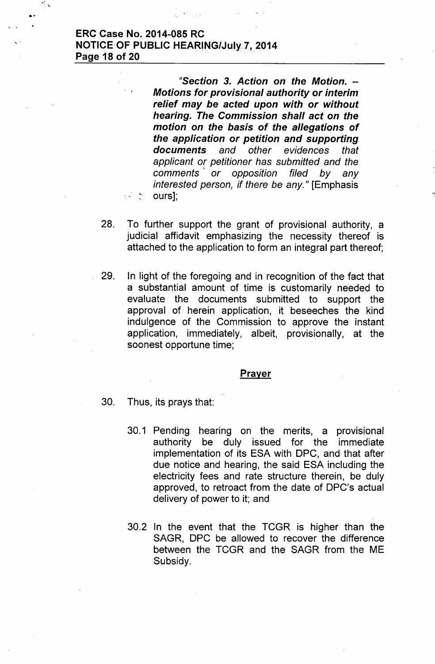#### ERC Case No. 2014-085 RC **NOTICE OF PUBLIC HEARING/July 7, 2014** Page 18 of 20

 $\mathcal{E}_{\mathcal{E},\mathcal{E}}$ 

*"Section* 3. *Action on the Motion. - Motions for provisional authority or interim relief may be acted upon with or without hearing. The Commission shall act on the motion on the basis* of *the allegations* of *the application or petition and supporting documents and other evidences that applicant or petitioner has submitted and the comments '. or opposition filed by any interested person, if there be any.*" [Emphasis  $\therefore$  ours];

I'

- 28. To further support the grant of provisional authority, a judicial affidavit emphasizing the necessity thereof is attached to the application to form an integral part thereof;
- 29. In light of the foregoing and in recognition of the fact that a substantial amount of time is customarily needed to evaluate the documents submitted to support the approval of herein application, it beseeches the kind indulgence of the Commission to approve the instant application, immediately, albeit, provisionally, at the soonest opportune time;

#### **Prayer**

- 30. Thus, its prays that:
	- 30.1 Pending hearing on the merits, a provisional authority be duly issued for the immediate implementation of its ESA with OPC, and that after due notice and hearing, the said ESA including the electricity fees and rate structure therein, be duly approved, to retroact from the date of OPC's actual delivery of power to it; and
	- 30.2 In the event that the TCGR is higher than the SAGR, OPC be allowed to recover the difference between the TCGR and the SAGR from the ME Subsidy.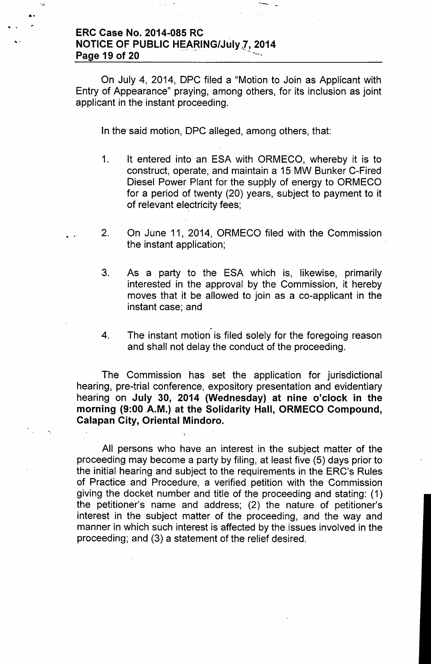#### ERC Case No. 2014-085 RC NOTICE OF PUBLIC HEARING/July 7, 2014 Page 19 of 20

..

.. ,..

> On July 4, 2014, DPC filed a "Motion to Join as Applicant with Entry of Appearance" praying, among others, for its inclusion as joint applicant in the instant proceeding.

--

In the said motion, OPC alleged, among others, that:

- 1. It entered into an ESA with ORMECO, whereby it is to construct, operate, and maintain a 15 MW Bunker C-Fired Diesel Power Plant for the supply of energy to ORMECO for a period of twenty (20) years, subject to payment to it of relevant electricity fees;
- 2. On June 11, 2014, ORMECO filed with the Commission the instant application;
- 3. As a party to the ESA which is, likewise, primarily interested in the approval by the Commission, it hereby moves that it be allowed to join as a co-applicant in the instant case; and
- .<br>.<br>. 4. The instant motion is filed solely for the foregoing reason and shall not delay the conduct of the proceeding.

The Commission has set the application for jurisdictional hearing, pre-trial conference, expository presentation and evidentiary hearing on July 30, 2014 (Wednesday) at nine o'clock in the morning (9:00 A.M.) at the Solidarity Hall, ORMECO Compound, Calapan City, Oriental Mindoro.

All persons who have an interest in the subject matter of the proceeding may become a party by filing, at least five (5) days prior to the initial hearing and subject to the requirements in the ERC's Rules of Practice and Procedure, a verified petition with the Commission giving the docket number and title of the proceeding and stating: (1) the petitioner's name and address; (2) the nature of petitioner's interest in the subject matter of the proceeding, and the way and manner in which such interest is affected by the issues involved in the proceeding; and (3) a statement of the relief desired.